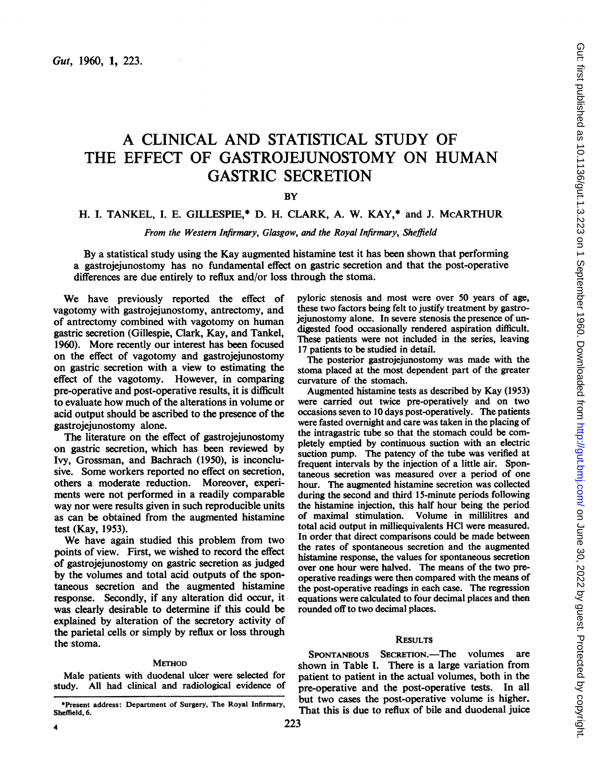# A CLINICAL AND STATISTICAL STUDY OF THE EFFECT OF GASTROJEJUNOSTOMY ON HUMAN GASTRIC SECRETION

**BY** 

# H. I. TANKEL, I. E. GILLESPIE,\* D. H. CLARK, A. W. KAY,\* and J. McARTHUR

From the Western Infirmary, Glasgow, and the Royal Infirmary, Sheffield

By a statistical study using the Kay augmented histamine test it has been shown that performing a gastrojejunostomy has no fundamental effect on gastric secretion and that the post-operative differences are due entirely to reflux and/or loss through the stoma.

We have previously reported the effect of vagotomy with gastrojejunostomy, antrectomy, and of antrectomy combined with vagotomy on human gastric secretion (Gillespie, Clark, Kay, and Tankel, 1960). More recently our interest has been focused on the effect of vagotomy and gastrojejunostomy on gastric secretion with a view to estimating the effect of the vagotomy. However, in comparing pre-operative and post-operative results, it is difficult to evaluate how much of the alterations in volume or acid output should be ascribed to the presence of the gastrojejunostomy alone.

The literature on the effect of gastrojejunostomy on gastric secretion, which has been reviewed by Ivy, Grossman, and Bachrach (1950), is inconclusive. Some workers reported no effect on secretion, others a moderate reduction. Moreover, experiments were not performed in a readily comparable way nor were results given in such reproducible units as can be obtained from the augmented histamine test (Kay, 1953).

We have again studied this problem from two points of view. First, we wished to record the effect of gastrojejunostomy on gastric secretion as judged by the volumes and total acid outputs of the spontaneous secretion and the augmented histamine response. Secondly, if any alteration did occur, it was clearly desirable to determine if this could be explained by alteration of the secretory activity of the parietal cells or simply by reflux or loss through the stoma.

## **METHOD**

Male patients with duodenal ulcer were selected for study. All had clinical and radiological evidence of pyloric stenosis and most were over 50 years of age, these two factors being felt to justify treatment by gastrojejunostomy alone. In severe stenosis the presence of undigested food occasionally rendered aspiration difficult. These patients were not included in the series, leaving 17 patients to be studied in detail.

The posterior gastroiejunostomy was made with the stoma placed at the most dependent part of the greater curvature of the stomach.

Augmented histamine tests as described by Kay (1953) were carried out twice pre-operatively and on two occasions seven to 10 days post-operatively. The patients were fasted overnight and care was taken in the placing of the intragastric tube so that the stomach could be completely emptied by continuous suction with an electric suction pump. The patency of the tube was verified at frequent intervals by the injection of a little air. Spontaneous secretion was measured over a period of one hour. The augmented histamine secretion was collected during the second and third 15-minute periods following the histamine injection, this half hour being the period of maximal stimulation. Volume in millilitres and total acid output in milliequivalents HCI were measured. In order that direct comparisons could be made between the rates of spontaneous secretion and the augmented histamine response, the values for spontaneous secretion over one hour were halved. The means of the two preoperative readings were then compared with the means of the post-operative readings in each case. The regression equations were calculated to four decimal places and then rounded off to two decimal places.

## **RESULTS**

SPONTANEOUS SECRETION.-The volumes are shown in Table I. There is a large variation from patient to patient in the actual volumes, both in the pre-operative and the post-operative tests. In all but two cases the post-operative volume is higher. That this is due to reflux of bile and duodenal juice

<sup>\*</sup>Present address: Department of Surgery, The Royal Infirmary, Sheffield, 6.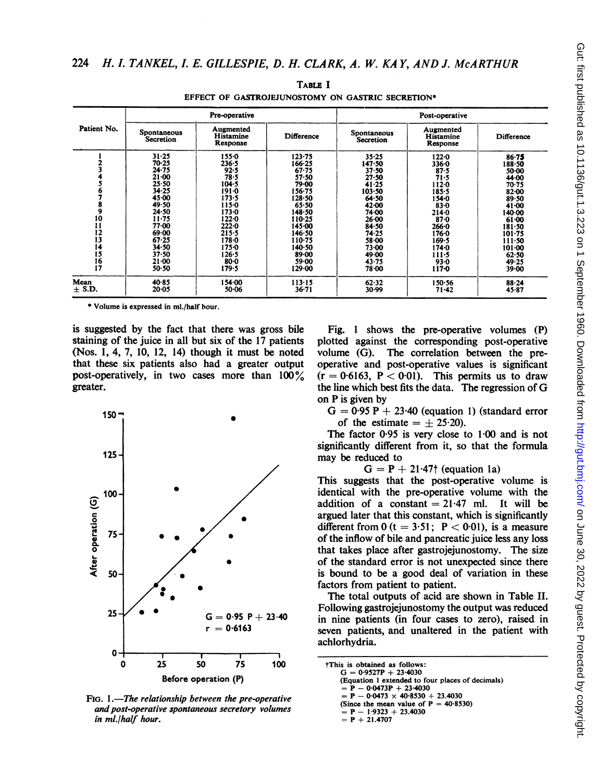| Patient No.   | Pre-operative            |                                    |            | Post-operative           |                                           |                   |
|---------------|--------------------------|------------------------------------|------------|--------------------------|-------------------------------------------|-------------------|
|               | Spontaneous<br>Secretion | Augmented<br>Histamine<br>Response | Difference | Spontaneous<br>Secretion | Augmented<br><b>Histamine</b><br>Response | <b>Difference</b> |
|               | $31 - 25$                | $155 - 0$                          | $123 - 75$ | $35 - 25$                | 122.0                                     | $86 - 75$         |
|               | 70.25                    | 236.5                              | 166-25     | 147.50                   | $336 - 0$                                 | 188.50            |
|               | $24 - 75$                | 92.5                               | $67 - 75$  | $37 - 50$                | 87.5                                      | 50.00             |
|               | $21 - 00$                | 78.5                               | $57 - 50$  | $27 - 50$                | 71.5                                      | 44.00             |
|               | 25.50                    | $104 - 5$                          | 79.00      | 41.25                    | $112 - 0$                                 | $70 - 75$         |
|               | 34.25                    | $191 - 0$                          | 156-75     | $103 - 50$               | 185-5                                     | $82 - 00$         |
|               | $45 - 00$                | 173.5                              | $128 - 50$ | 64.50                    | $154 - 0$                                 | 89.50             |
|               | 49.50                    | $115 - 0$                          | $65 - 50$  | 42.00                    | $83 - 0$                                  | $41 - 00$         |
| 9             | 24.50                    | $173 - 0$                          | 148-50     | 74.00                    | $214 - 0$                                 | $140-00$          |
| 10            | $11 - 75$                | $122 - 0$                          | 110-25     | 26.00                    | $87 - 0$                                  | $61 - 00$         |
| $\mathbf{11}$ | 77-00                    | 222.0                              | 145.00     | 84.50                    | $266 - 0$                                 | $181 - 50$        |
| 12            | 69.00                    | $215 - 5$                          | 146.50     | 74.25                    | 176.0                                     | $101 - 75$        |
| 13            | 67.25                    | $178 - 0$                          | $110-75$   | 58.00                    | 169.5                                     | 111.50            |
| 14            | 34.50                    | $175 - 0$                          | 140-50     | 73.00                    | $174 - 0$                                 | $101 - 00$        |
| 15            | 37.50                    | $126 - 5$                          | $89 - 00$  | 49.00                    | 111.5                                     | 62.50             |
| 16            | $21 - 00$                | $80 - 0$                           | 59.00      | 43.75                    | $93 - 0$                                  | 49.25             |
| 17            | 50.50                    | 179.5                              | 129.00     | 78.00                    | $117 - 0$                                 | $39 - 00$         |
| Mean          | $40 - 85$                | 154.00                             | 113.15     | 62.32                    | 150.56                                    | 88.24             |
| $\pm$ S.D.    | $20 - 05$                | 50.06                              | $36 - 71$  | 30.99                    | $71 - 42$                                 | $45 - 87$         |

TABLE <sup>I</sup> EFFECT OF GASTROJEJUNOSTOMY ON GASTRIC SECRETION\*

\* Volume is expressed in ml./half hour.

is suggested by the fact that there was gross bile staining of the juice in all but six of the 17 patients (Nos. 1, 4, 7, 10, 12, 14) though it must be noted that these six patients also had a greater output post-operatively, in two cases more than 100% greater.



Fig. 1.—The relationship between the pre-operative  $\frac{1}{2}P - 0.0473 \times 40.8530 + 23.40.953$ and post-operative spontaneous secretory volumes<br> $\begin{aligned} \text{(Since the mean value of} \\ = P - 1.9323 + 23.4030 \end{aligned}$ in ml./half hou  $r. = P + 21.4707$ 

Fig. <sup>1</sup> shows the pre-operative volumes (P) plotted against the corresponding post-operative volume (G). The correlation between the preoperative and post-operative values is significant  $(r = 0.6163, P < 0.01)$ . This permits us to draw the line which best fits the data. The regression of G on P is given by

 $G = 0.95 P + 23.40$  (equation 1) (standard error of the estimate  $= \pm 25.20$ .

The factor  $0.95$  is very close to  $1.00$  and is not significantly different from it, so that the formula may be reduced to

 $G = P + 21.47$ † (equation 1a)

This suggests that the post-operative volume is identical with the pre-operative volume with the addition of a constant  $= 21.47$  ml. It will be argued later that this constant, which is significantly different from  $0$  (t = 3.51; P < 0.01), is a measure of the inflow of bile and pancreatic juice less any loss that takes place after gastrojejunostomy. The size of the standard error is not unexpected since there is bound to be a good deal of variation in these factors from patient to patient.

The total outputs of acid are shown in Table II. Following gastrojejunostomy the output was reduced in nine patients (in four cases to zero), raised in seven patients, and unaltered in the patient with achlorhydria.

| <b>This is obtained as follows:</b>              |  |
|--------------------------------------------------|--|
| $G = 0.9527P + 23.4030$                          |  |
| (Equation 1 extended to four places of decimals) |  |
| $= P - 0.0473P + 23.4030$                        |  |
| $= P - 0.0473 \times 40.8530 + 23.4030$          |  |
| (Since the mean value of $P = 40.8530$ )         |  |
| $= P - 1.9323 + 23.4030$                         |  |
| $= P + 21.4707$                                  |  |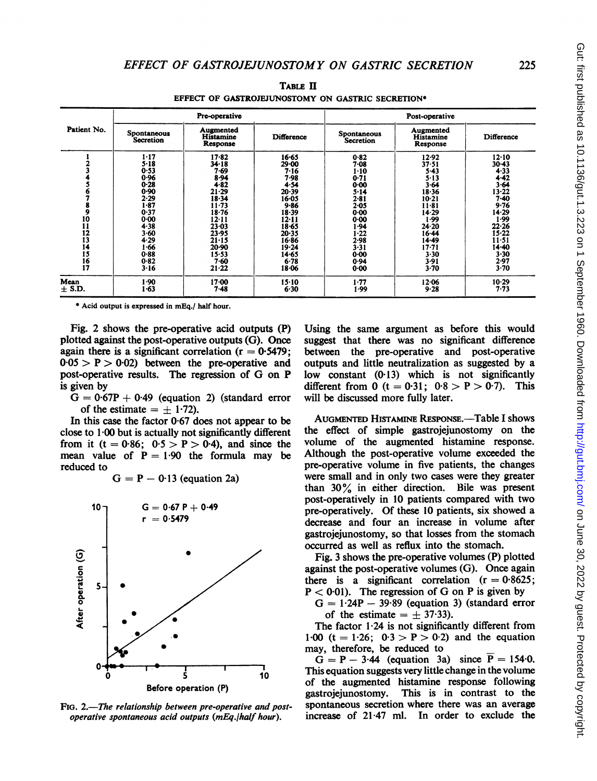| Patient No.                                                            | Pre-operative                                                                                                                                                  |                                                                                                                                                                                                     |                                                                                                                                                                            | Post-operative                                                                                                                                                           |                                                                                                                                                                                         |                                                                                                                                                                            |  |
|------------------------------------------------------------------------|----------------------------------------------------------------------------------------------------------------------------------------------------------------|-----------------------------------------------------------------------------------------------------------------------------------------------------------------------------------------------------|----------------------------------------------------------------------------------------------------------------------------------------------------------------------------|--------------------------------------------------------------------------------------------------------------------------------------------------------------------------|-----------------------------------------------------------------------------------------------------------------------------------------------------------------------------------------|----------------------------------------------------------------------------------------------------------------------------------------------------------------------------|--|
|                                                                        | Spontaneous<br>Secretion                                                                                                                                       | Augmented<br>Histamine<br>Response                                                                                                                                                                  | <b>Difference</b>                                                                                                                                                          | <b>Spontaneous</b><br>Secretion                                                                                                                                          | Augmented<br>Histamine<br>Response                                                                                                                                                      | Difference                                                                                                                                                                 |  |
| $\frac{9}{10}$<br>$\frac{11}{12}$<br>13<br>14<br>$\frac{15}{16}$<br>17 | $1 - 17$<br>$5 - 18$<br>0.53<br>0.96<br>$0 - 28$<br>0.90<br>2.29<br>1-87<br>0.37<br>0.00<br>4.38<br>$3 - 60$<br>4.29<br>$\cdot 66$<br>0.88<br>0.82<br>$3 - 16$ | $17 - 82$<br>34-18<br>7-69<br>$8 - 94$<br>$4 - 82$<br>$21 - 29$<br>$18 - 34$<br>$11 - 73$<br>$18 - 76$<br>12.11<br>$23 - 03$<br>23.95<br>$21 - 15$<br>$20 - 90$<br>$15 - 53$<br>$7-60$<br>$21 - 22$ | $16 - 65$<br>29-00<br>7-16<br>7-98<br>4.54<br>20.39<br>16.05<br>$9 - 86$<br>$18-39$<br>$12 - 11$<br>$18 - 65$<br>20-35<br>16.86<br>$19 - 24$<br>$14 - 65$<br>6.78<br>18·06 | 0.82<br>7-08<br>$1 - 10$<br>0.71<br>$0 - 00$<br>$5 - 14$<br>$2 - 81$<br>$2 - 05$<br>$0 - 00$<br>0.00<br>1.94<br>1.22<br>$2 - 98$<br>$3 - 31$<br>$0 - 00$<br>0.94<br>0.00 | 12.92<br>$37 - 51$<br>$5 - 43$<br>$5 - 13$<br>3.64<br>$18 - 36$<br>$10-21$<br>$11 - 81$<br>$14 - 29$<br>99۱<br>24.20<br>16.44<br>$14 - 49$<br>$17 - 71$<br>$3 - 30$<br>3.91<br>$3 - 70$ | 12.10<br>$30 - 43$<br>4.33<br>4.42<br>$3 - 64$<br>$13 - 22$<br>$7-40$<br>9.76<br>14.29<br>1.99<br>22.26<br>$15 - 22$<br>$11 - 51$<br>14-40<br>$3 - 30$<br>2.97<br>$3 - 70$ |  |
| Mean<br>$\pm$ S.D.                                                     | 1.90<br>1.63                                                                                                                                                   | $17 - 00$<br>7.48                                                                                                                                                                                   | $15-10$<br>6.30                                                                                                                                                            | $1 - 77$<br>1.99                                                                                                                                                         | 12.06<br>$9 - 28$                                                                                                                                                                       | $10-29$<br>7.73                                                                                                                                                            |  |

TABLE HI EFFECT OF GASTROJEJUNOSTOMY ON GASTRIC SECRETION\*

\* Acid output is expressed in mEq./ half hour.

Fig. 2 shows the pre-operative acid outputs (P) plotted against the post-operative outputs (G). Once again there is a significant correlation  $(r = 0.5479)$ :  $0.05 > P > 0.02$  between the pre-operative and post-operative results. The regression of G on P is given by

 $G = 0.67P + 0.49$  (equation 2) (standard error of the estimate  $= +1.72$ .

In this case the factor  $0.67$  does not appear to be close to <sup>1</sup> 00 but is actually not significantly different from it (t = 0.86; 0.5 > P > 0.4), and since the mean value of  $P = 1.90$  the formula may be reduced to

 $G = P - 0.13$  (equation 2a)



FIG. 2.-The relationship between pre-operative and postoperative spontaneous acid outputs (mEq.lhalf hour).

Using the same argument as before this would suggest that there was no significant difference between the pre-operative and post-operative outputs and little neutralization as suggested by a low constant  $(0.13)$  which is not significantly different from 0 (t =  $0.31$ ;  $0.8 > P > 0.7$ ). This will be discussed more fully later.

AUGMENTED HISTAMINE RESPONSE.-Table I shows the effect of simple gastrojejunostomy on the volume of the augmented histamine response. Although the post-operative volume exceeded the pre-operative volume in five patients, the changes were small and in only two cases were they greater than 30% in either direction. Bile was present post-operatively in 10 patients compared with two pre-operatively. Of these 10 patients, six showed a decrease and four an increase in volume after gastrojejunostomy, so that losses from the stomach occurred as well as reflux into the stomach.

Fig. 3 shows the pre-operative volumes (P) plotted against the post-operative volumes (G). Once again there is a significant correlation  $(r = 0.8625)$ ;  $P < 0.01$ ). The regression of G on P is given by

 $G = 1.24P - 39.89$  (equation 3) (standard error of the estimate  $= +37.33$ .

The factor  $1.24$  is not significantly different from 1.00 (t = 1.26;  $0.3 > P > 0.2$ ) and the equation may, therefore, be reduced to

 $G = P - 3.44$  (equation 3a) since  $\overline{P} = 154.0$ . This equation suggests very little change in the volume of the augmented histamine response following gastrojejunostomy. This is in contrast to the spontaneous secretion where there was an average increase of 2147 ml. In order to exclude the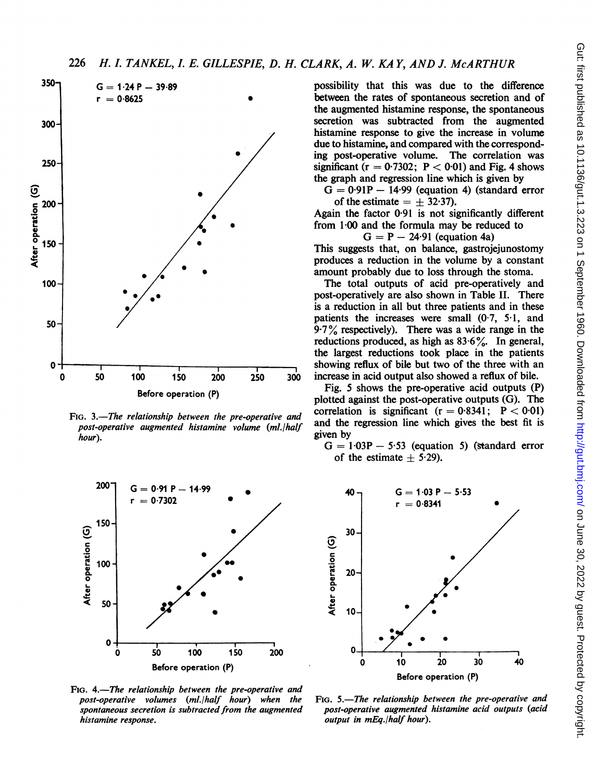

post-operative augmented histamine volume (ml./half and the hour). hour). given by



FIG. 4.-The relationship between the pre-operative and post-operative volumes (ml./half hour) when the FIG. 5.—The relationship between the pre-operative and<br>spontaneous secretion is subtracted from the augmented post-operative augmented histamine acid outputs (acid histamine response.  $\blacksquare$  output in mEq./half hour).

 $G = 1.24 P - 39.89$  possibility that this was due to the difference<br>  $r = 0.8625$   $\bullet$  between the rates of spontaneous secretion and of between the rates of spontaneous secretion and of the augmented histamine response, the spontaneous secretion was subtracted from the augmented histamine response to give the increase in volume due to histamine, and compared with the correspond ing post-operative volume. The correlation was significant ( $r = 0.7302$ ;  $P < 0.01$ ) and Fig. 4 shows the graph and regression line which is given by

> $G = 0.91P - 14.99$  (equation 4) (standard error of the estimate  $= +32.37$ ).

Again the factor  $0.91$  is not significantly different from  $1.00$  and the formula may be reduced to

 $G = P - 24.91$  (equation 4a)

This suggests that, on balance, gastrojejunostomy produces a reduction in the volume by a constant amount probably due to loss through the stoma.

The total outputs of acid pre-operatively and post-operatively are also shown in Table II. There is a reduction in all but three patients and in these patients the increases were small  $(0.7, 5.1, and)$  $9.7\%$  respectively). There was a wide range in the reductions produced, as high as  $83.6\%$ . In general, the largest reductions took place in the patients showing reflux of bile but two of the three with an<br>50 100 150 200 250 300 increase in acid output also showed a reflux of bile. increase in acid output also showed a reflux of bile.

Before operation  $(P)$  Fig. 5 shows the pre-operative acid outputs  $(P)$  plotted against the post-operative outputs  $(G)$ . The FIG. 3.—The relationship between the pre-operative and correlation is significant  $(r = 0.8341; P < 0.01)$ <br>next apartive guaranted bistorials values (related and the regression line which gives the best fit is

 $G = 1.03P - 5.53$  (equation 5) (standard error of the estimate  $\pm$  5.29).



post-operative augmented histamine acid outputs (acid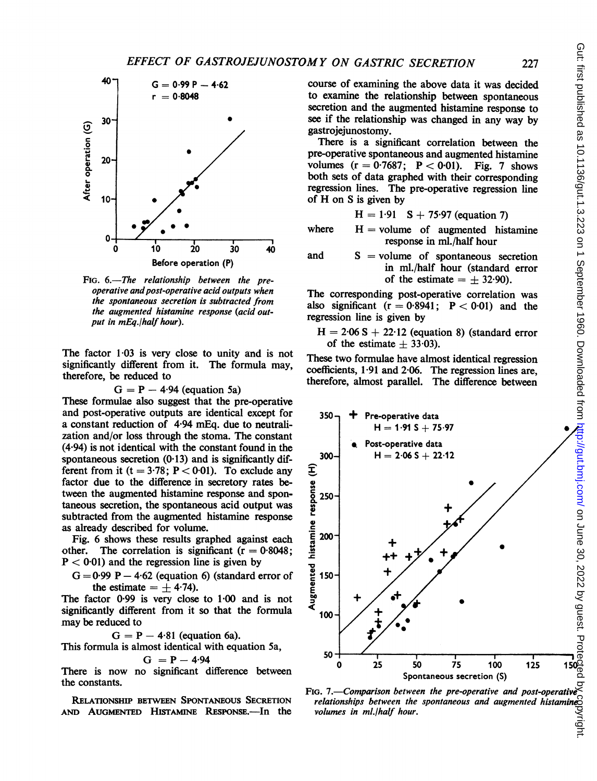

FIG. 6.-The relationship between the preoperative and post-operative acid outputs when the spontaneous secretion is subtracted from the augmented histamine response (acid output in mEq./half hour).

The factor 1.03 is very close to unity and is not significantly different from it. The formula may, therefore, be reduced to

$$
G = P - 4.94
$$
 (equation 5a)

These formulae also suggest that the pre-operative and post-operative outputs are identical except for a constant reduction of 4.94 mEq. due to neutralization and/or loss through the stoma. The constant (4.94) is not identical with the constant found in the spontaneous secretion  $(0.13)$  and is significantly different from it  $(t = 3.78; P < 0.01)$ . To exclude any factor due to the difference in secretory rates between the augmented histamine response and spontaneous secretion, the spontaneous acid output was subtracted from the augmented histamine response as already described for volume.

Fig. 6 shows these results graphed against each other. The correlation is significant  $(r = 0.8048)$ : The correlation is significant ( $r = 0.8048$ ;  $P < 0.01$ ) and the regression line is given by

 $G = 0.99$  P  $- 4.62$  (equation 6) (standard error of the estimate  $= \pm 4.74$ .

The factor 0.99 is very close to 1.00 and is not significantly different from it so that the formula may be reduced to

 $G = P - 4.81$  (equation 6a).

This formula is almost identical with equation 5a,  $G = P - 4.94$ 

There is now no significant difference between the constants.

RELATIONSHIP BETWEEN SPONTANEOUS SECRETION AND AUGMENTED HISTAMINE RESPONSE.-In the course of examining the above data it was decided to examine the relationship between spontaneous secretion and the augmented histamine response to see if the relationship was changed in any way by gastrojejunostomy.

There is a significant correlation between the pre-operative spontaneous and augmented histamine volumes  $(r = 0.7687; P < 0.01)$ . Fig. 7 shows both sets of data graphed with their corresponding regression lines. The pre-operative regression line of H on <sup>S</sup> is given by

$$
H = 1.91
$$
 S + 75.97 (equation 7)

where  $H =$  volume of augmented histamine response in ml./half hour

and  $S = volume$  of spontaneous secretion in ml./half hour (standard error of the estimate  $= \pm 32.90$ .

The corresponding post-operative correlation was also significant  $(r = 0.8941; P < 0.01)$  and the regression line is given by

 $H = 2.06 S + 22.12$  (equation 8) (standard error of the estimate  $+33.03$ .

These two formulae have almost identical regression coefficients, 1.91 and 2.06. The regression lines are, therefore, almost parallel. The difference between



FIG. 7.—Comparison between the pre-operative and post-operative relationships between the spontaneous and augmented histamine<u>c</u> volumes in ml./half hour.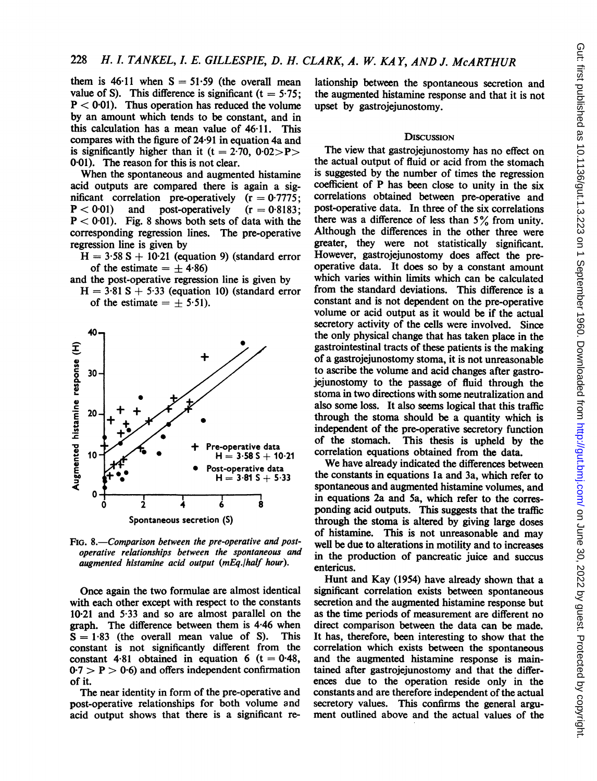them is  $46.11$  when  $S = 51.59$  (the overall mean value of S). This difference is significant  $(t = 5.75)$ :  $P < 0.01$ ). Thus operation has reduced the volume by an amount which tends to be constant, and in this calculation has a mean value of 46.11. This compares with the figure of 24.91 in equation 4a and is significantly higher than it (t = 2.70,  $0.02 > P$ ) 0-01). The reason for this is not clear.

When the spontaneous and augmented histamine acid outputs are compared there is again a significant correlation pre-operatively  $(r = 0.7775)$ ;  $P < 0.01$ ) and post-operatively  $(r = 0.8183)$ ;  $P < 0.01$ ). Fig. 8 shows both sets of data with the corresponding regression lines. The pre-operative regression line is given by

 $H = 3.58 S + 10.21$  (equation 9) (standard error of the estimate  $= +4.86$ 

- and the post-operative regression line is given by
	- $H = 3.81 S + 5.33$  (equation 10) (standard error of the estimate  $= \pm 5.51$ .



FIG. 8.—Comparison between the pre-operative and postoperative relationships between the spontaneous and  $augmented$  histamine acid output (mEq./half hour).

Once again the two formulae are almost identical with each other except with respect to the constants  $10.21$  and  $5.33$  and so are almost parallel on the graph. The difference between them is  $4.46$  when  $S = 1.83$  (the overall mean value of S). This  $S = 1.83$  (the overall mean value of S). constant is not significantly different from the constant 4.81 obtained in equation 6 ( $t = 0.48$ ,  $0.7 > P > 0.6$ ) and offers independent confirmation of it.

The near identity in form of the pre-operative and post-operative relationships for both volume and acid output shows that there is a significant relationship between the spontaneous secretion and the augmented histamine response and that it is not upset by gastrojejunostomy.

#### **DISCUSSION**

The view that gastrojejunostomy has no effect on the actual output of fluid or acid from the stomach is suggested by the number of times the regression coefficient of P has been close to unity in the six correlations obtained between pre-operative and post-operative data. In three of the six correlations there was a difference of less than  $5\%$  from unity. Although the differences in the other three were greater, they were not statistically significant. However, gastrojejunostomy does affect the preoperative data. It does so by a constant amount which varies within limits which can be calculated from the standard deviations. This difference is a constant and is not dependent on the pre-operative volume or acid output as it would be if the actual secretory activity of the cells were involved. Since the only physical change that has taken place in the gastrointestinal tracts of these patients is the making of a gastrojejunostomy stoma, it is not unreasonable to ascribe the volume and acid changes after gastrojejunostomy to the passage of fluid through the stoma in two directions with some neutralization and also some loss. It also seems logical that this traffic through the stoma should be a quantity which is independent of the pre-operative secretory function of the stomach. This thesis is upheld by the correlation equations obtained from the data.

We have already indicated the differences between the constants in equations la and 3a, which refer to spontaneous and augmented histamine volumes, and in equations 2a and Sa, which refer to the corresponding acid outputs. This suggests that the traffic through the stoma is altered by giving large doses of histamine. This is not unreasonable and may well be due to alterations in motility and to increases in the production of pancreatic juice and succus entericus.

Hunt and Kay (1954) have already shown that a significant correlation exists between spontaneous secretion and the augmented histamine response but as the time periods of measurement are different no direct comparison between the data can be made. It has, therefore, been interesting to show that the correlation which exists between the spontaneous and the augmented histamine response is maintained after gastrojejunostomy and that the differences due to the operation reside only in the constants and are therefore independent of the actual secretory values. This confirms the general argument outlined above and the actual values of the